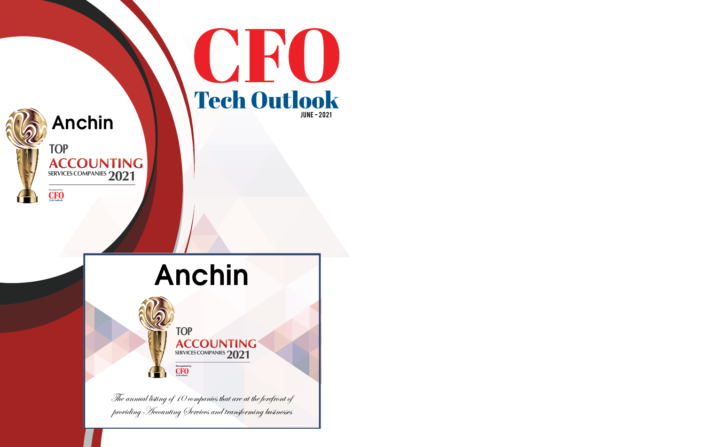



## Anchin



## Anchin



The annual listing of 10 companies that are at the forefront of providing Accounting Services and transforming businesses